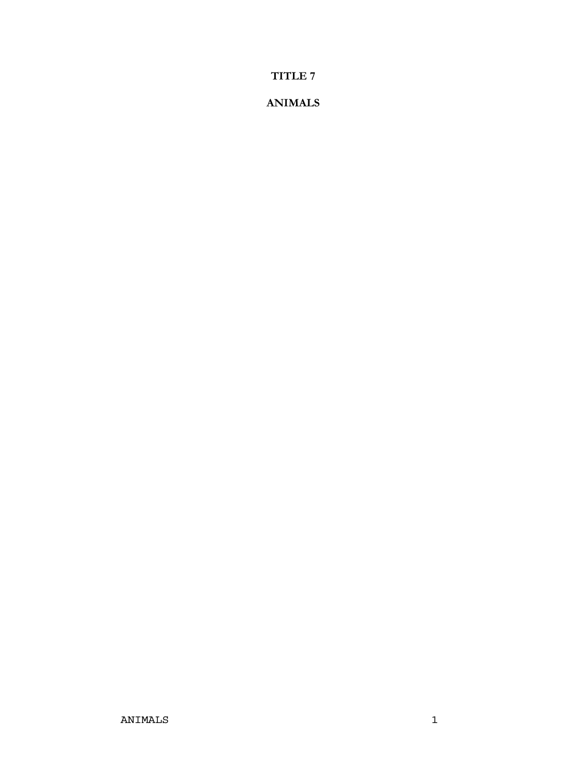**<sup>7</sup> TITLE 7** 

### **ANIMALS**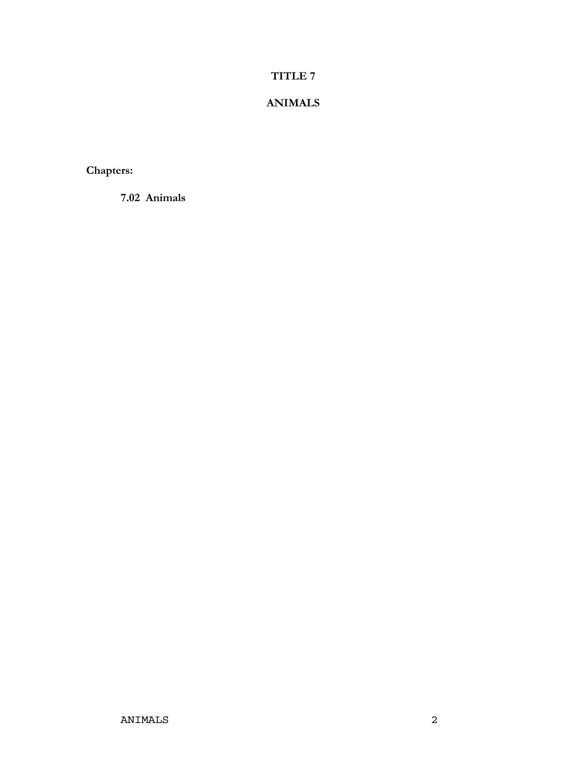### **<sup>7</sup> TITLE 7**

### **ANIMALS**

Chapters:

**Animals**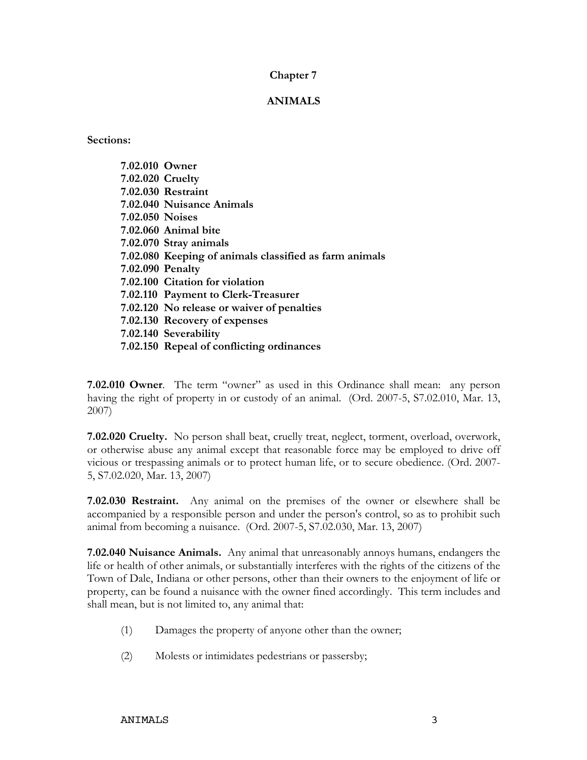### **<sup>7</sup> Chapter 7**

#### **ANIMALS**

**19.** 

| 7.02.010 Owner   |                                                        |
|------------------|--------------------------------------------------------|
| 7.02.020 Cruelty |                                                        |
|                  | 7.02.030 Restraint                                     |
|                  | 7.02.040 Nuisance Animals                              |
| 7.02.050 Noises  |                                                        |
|                  | 7.02.060 Animal bite                                   |
|                  | 7.02.070 Stray animals                                 |
|                  | 7.02.080 Keeping of animals classified as farm animals |
| 7.02.090 Penalty |                                                        |
|                  | 7.02.100 Citation for violation                        |
|                  | 7.02.110 Payment to Clerk-Treasurer                    |
|                  | 7.02.120 No release or waiver of penalties             |
|                  | 7.02.130 Recovery of expenses                          |
|                  | 7.02.140 Severability                                  |
|                  | 7.02.150 Repeal of conflicting ordinances              |

**7.02.010 Owner**. The term "owner" as used in this Ordinance shall mean: any person having the right of property in or custody of an animal. (Ord. 2007-5, S7.02.010, Mar. 13, **7.02.020**

2007)<br>**7.02.020 Cruelty.** No person shall beat, cruelly treat, neglect, torment, overload, overwork, 2.020 Cruelty. No person shall beat, cruelly treat, neglect, torment, overload, overwork, otherwise abuse any animal except that reasonable force may be employed to drive off vicious or trespassing animal except that reasonable force may be employed to drive off vicious or trespassing animals or to protect human life, or to secure obedience. (Ord. 2007vicious or trespassing animals or to protect human life, or to secure obedience. (Ord. 2007-5, S7.02.020, Mar. 13, 2007)

 **Restraint.** Any animal on the premises of the owner or elsewhere shall be accompanied by <sup>a</sup> responsible person and under the person's control, so asto prohibit such Accompanied by a responsible person and under the person's control, so as to p<br>animal from becoming a nuisance. (Ord. 2007-5, S7.02.030, Mar. 13, 2007) animal from becoming a nuisance. (Ord. 2007-5, S7.02.030, Mar. 13, 2007)

**Nuisance Animals.** Any animal that unreasonably annoys humans, endangers the life or health of other animals, or substantially interferes with the rights of the citizens of the Town of Dale. Indiana or other persons, other than their owners to the enjoyment of life or<br>Town of Dale. Indiana or other persons, other than their owners to the enjoyment of life or property, can be found a nuisance with the owner fined accordingly. This term includes and<br>property, can be found a nuisance with the owner fined accordingly. This term includes and FOWH OF Bale, Hidiana of other persons, other than<br>property, can be found a nuisance with the owner fir<br>shall mean, but is not limited to, any animal that: shall mean, but is not limited to, any animal that:

- Damages the property of anyone other than the owner;  $(1)$
- $(2)$ Molests or intimidates pedestrians or passersby;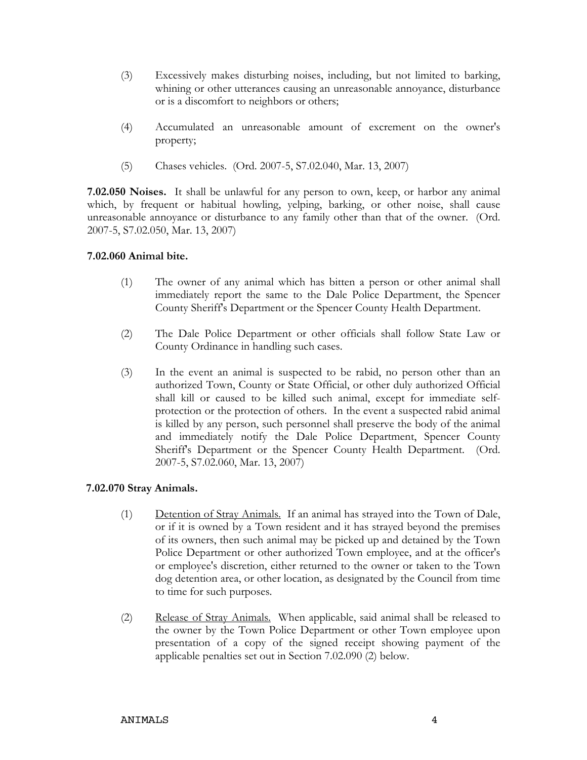- Excessively makes disturbing noises, including, but not limited to barking, whiningely makes disturbing noises, including, but not limited to barking,<br>or other utterances causing an unreasonable annoyance, disturbance  $(3)$ Execessively makes distribute hoses, medid<br>whining or other utterances causing an unrea<br>or is a discomfort to neighbors or others:
- or is a discommote to neighbors of others,<br>Accumulated an unreasonable amount of excrement on the owner's  $(4)$
- property;<br>Chases vehicles. (Ord. 2007-5, S7.02.040, Mar. 13, 2007) **7.02.050**

**Noises.** It shall be unlawful for any person to own, keep, or harbor any animal which, by frequent or habitual howling, yelping, barking, or other noise, shall cause which, by frequent or habitual howling, yelping, barking, or other noise, shall cause<br>unreasonable annoyance or disturbance to any family other than that of the owner. (Ord. unreasonable annoyance or disturbance to any family other than that of the owner. (Ord. 2007-5, S7.02.050, Mar. 13, 2007)

# **Animal bite.**  $\overline{a}$

- The owner of any animal which has bitten <sup>a</sup> person or other animal shall immediately report the same to the Dale Police Department, the Spencer  $(1)$ Inc owner of any animal which has sitten a person of other animal shall<br>immediately report the same to the Dale Police Department, the Spencer<br>County Sheriff's Department or the Spencer County Health Department.
- The Dale Police Department or other officials shall follow State Law or County Ordinance in handling such cases.  $(2)$
- In the event an animal is suspected to be rabid, no person other than an authorized Town, County or State Official, or other duly authorized Official  $(3)$ In the event an animal is suspected to be rable, no person other than an<br>authorized Town, County or State Official, or other duly authorized Official<br>shall kill or caused to be killed such animal, except for immediate self shall kill or caused to be killed such animal, except for immediate self-If the oriental term of caused to be killed such animal, except for infinemate sen-<br>protection or the protection of others. In the event a suspected rabid animal<br>is killed by any person, such personnel shall preserve the b procedured in the procedure of others. In the event a suspected radia annual<br>is killed by any person, such personnel shall preserve the body of the animal<br>and immediately notify the Dale Police Department, Spencer County Sheriff's Department or the Spencer County Health Department. (Ord. 2007-5) Sheriff's Department or the Spencer County Health Department. (Ord. 2007-5, S7.02.060, Mar. 13, 2007)

# **Stray Animals.**  $\overline{0}$

- Animals.<br>Detention of Strav Animals. If an animal has straved into the Town of Dale. tention of Stray Animals. If an animal has strayed into the Town of Dale,<br>if it is owned by a Town resident and it has strayed beyond the premises  $(1)$ of its owners, then such animal may be picked up and detained by the Town of Back,<br>or if it is owners, then such animal may be picked up and detained by the Town of its owner by a Town research and it has strayed beyond the premises<br>of its owners, then such animal may be picked up and detained by the Town<br>Police Department or other authorized Town employee, and at the officer's or its owners, then such animal may be pleaded up and detained by the Town<br>Police Department or other authorized Town employee, and at the officer's<br>or employee's discretion, either returned to the owner or taken to the To Force Department of other additionsed Town employee, and at the officer s<br>or employee's discretion, either returned to the owner or taken to the Town<br>dog detention area, or other location, as designated by the Council from or employee's discretion, enhanced<br>dog detention area, or other lo<br>to time for such purposes.
- Release of Stray Animals. When applicable, said animal shall be released to the owner by the Town Police Department or other Town employee upon  $(2)$ presentation of a copy of the signed receipt showing payment of the owner by the Town Police Department or other Town employee upon presentation of a copy of the signed receipt showing payment of the and bother by the Town Tonee Bepartment of other Two<br>presentation of a copy of the signed receipt showing<br>applicable penalties set out in Section 7.02.090 (2) below.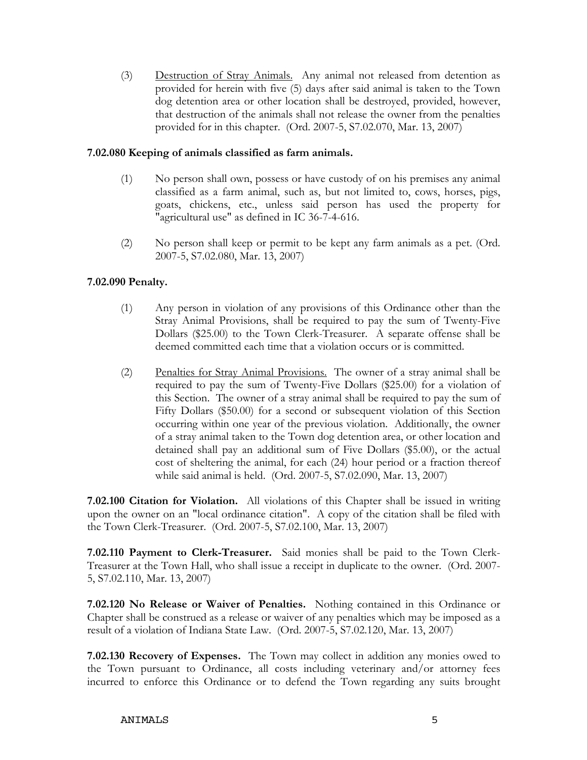Destruction of Stray Animals. Any animal not released from detention as provided for herein with five (5) days after said animal is taken to the Town  $(3)$ dog detention of *Stray Ammads.* This animal flot released from detention as<br>provided for herein with five (5) days after said animal is taken to the Town<br>dog detention area or other location shall be destroyed, provided, dog detention area or other location shall be destroyed, provided, however, provided for in this chapter. (Ord. 2007-5, S7.02.070, Mar. 13, 2007)

# **Keeping of animals classified as farm animals.**  $\overline{\phantom{0}}$

- No person shall own, possess or have custody of on his premises any animal<br>classified as a farm animal, such as, but not limited to, cows, horses, pigs,  $(1)$ classified as a farm animal, such as, but not limited to, cows, horses, pigs, goats, chickens, etc., unless said person has used the property for "agricultural use" as defined in IC 36-7-4-616.
- $\alpha$  person shall keep or permit to be kept any farm animals as a pet. (Ord. on shall keep or permit to be S7.02.080, Mar. 13, 2007)  $(2)$

# **Penalty.**  $\overline{ }$

- Any person in violation of any provisions of this Ordinance other than the Stray Animal Provisions, shall be required to pay the sum of Twenty-Five  $(1)$ Extray Animal Provisions, shall be required to pay the sum of Twenty-Five<br>Dollars (\$25.00) to the Town Clerk-Treasurer. A separate offense shall be Budy Thuman Trovisions, shall be required to pay the sum of Twenty<br>Dollars (\$25.00) to the Town Clerk-Treasurer. A separate offense shal<br>deemed committed each time that a violation occurs or is committed.
- Penalties for Stray Animal Provisions. The owner of a stray animal shall be<br>required to pay the sum of Twenty-Five Dollars (\$25.00) for a violation of  $(2)$ the owner of a stray animal shall be required to pay the sum of Twenty-Five Dollars (\$25.00) for a violation of this Section. The owner of a stray animal shall be required to pay the sum of Figure Figure 3. The sum of Twenty Tive Domais (\$25.00) for a violation of this Section. The owner of a stray animal shall be required to pay the sum of Fifty Dollars (\$50.00) for a second or subsequent violation of this of the product of the state and the previous violation of the state of the previous violation of this Section<br>occurring within one year of the previous violation. Additionally, the owner occurring within one year of the previous violation. Additionally, the owner<br>of a stray animal taken to the Town dog detention area, or other location and detaining within one year of the previous violation. Triditionally, the owner<br>of a stray animal taken to the Town dog detention area, or other location and<br>detained shall pay an additional sum of Five Dollars (\$5.00), or t or a stray animal taken to the Town dog detendor area, or other location and<br>detained shall pay an additional sum of Five Dollars (\$5.00), or the actual<br>cost of sheltering the animal, for each (24) hour period or a fractio ectance share pay an accuracial sum of Tive Bohars (\$5.00), or the<br>cost of sheltering the animal, for each (24) hour period or a fraction t<br>while said animal is held. (Ord. 2007-5, S7.02.090, Mar. 13, 2007)

**CILE 1907-9, 87.02.000, Mail 19, 2007)**<br> **Citation for Violation.** All violations of this Chapter shall be issued in writing<br>
upon the owner on an "local ordinance citation". A copy of the citation shall be filed with the Town Clerk-Treasurer. (Ord. 2007-5, S7.02.100, Mar. 13, 2007) the Town Clerk-Treasurer. (Ord. 2007-5, S7.02.100, Mar. 13, 2007)

 **Payment to Clerk-Treasurer.** Said monies shall be paid to the Town Clerk- Treasurer7.02.110 Payment to Clerk-Treasurer. Said monies shall be paid to the Town Clerk-<br>Treasurer at the Town Hall, who shall issue a receipt in duplicate to the owner. (Ord. 2007-Treasurer at the Town Hall, who shall issue a receipt in duplicate to the owner. (Ord. 2007-5, \$7.02.110, Mar. 13, 2007)

**T.02.120** No Release or Waiver of Penalties. Nothing contained in this Ordinance or T.02.120 No Release or Waiver of Penalties. Nothing contained in this Ordinance or Chapter shall be construed as a release or waiver of a result of a violation of Indiana State Law. (Ord. 2007-5, S7.02.120, Mar. 13, 2007) result of a violation of Indiana State Law. (Ord. 2007-5, S7.02.120, Mar. 13, 2007)

**Recovery of Expenses.** The Town may collect in addition any monies owed to **Recovery of Expenses.** The Town may collect in addition any monies owed to 7.02.130 Recovery of Expenses. The Town may collect in addition any monies owed to<br>the Town pursuant to Ordinance, all costs including veterinary and/or attorney fees<br>incurred to enforce this Ordinance or to defend the Tow